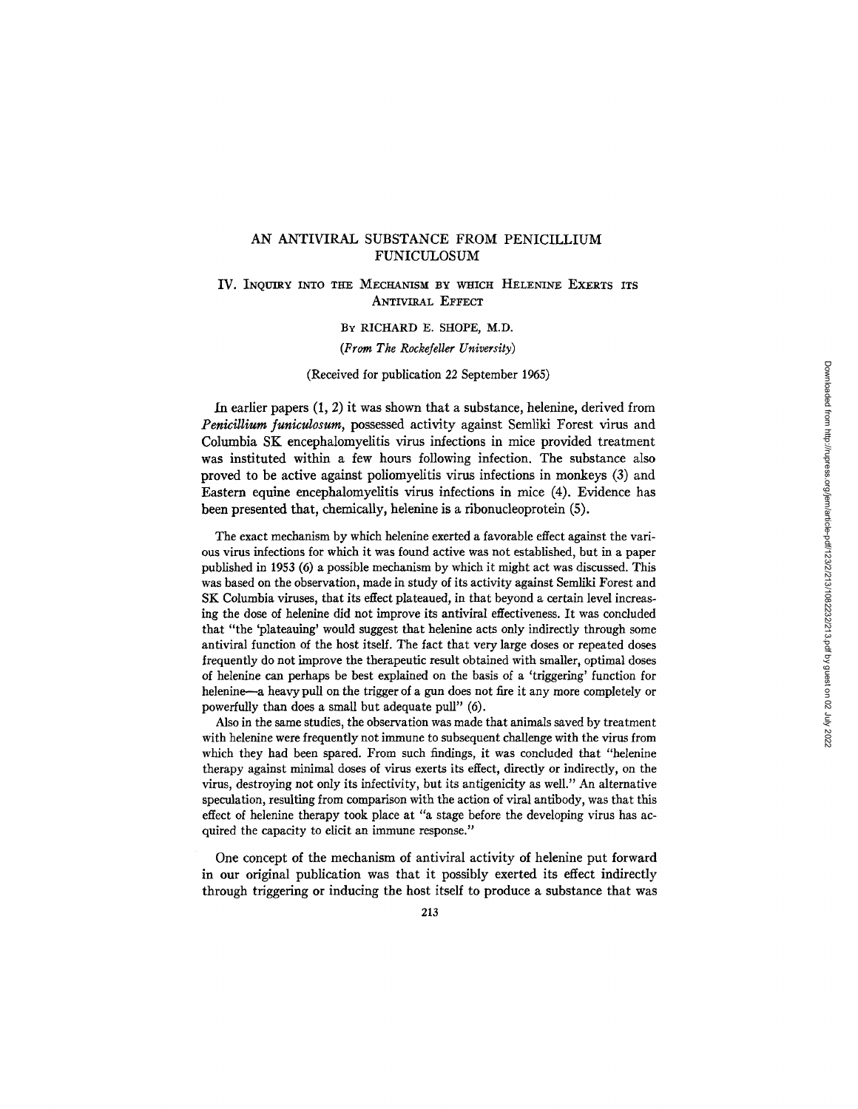# AN ANTIVIRAL SUBSTANCE FROM PENICILLIUM FUNICULOSUM

IV. INQUIRY INTO THE MECHANISM BY WHICH HELENINE EXERTS ITS ANTIVIRAL EFFECT

## BY RICHARD E. SHOPE, M.D.

## *(From The Rockefeller University)*

#### (Received for publication 22 September 1965)

In earlier papers  $(1, 2)$  it was shown that a substance, helenine, derived from *Penicillium funiculosum,* possessed activity against Semliki Forest virus and Columbia SK encephalomyelitis virus infections in mice provided treatment was instituted within a few hours following infection. The substance also proved to be active against poliomyelitis virus infections in monkeys (3) and Eastern equine encephalomyelitis virus infections in mice (4). Evidence has been presented that, chemically, helenine is a ribonucleoprotein (5).

The exact mechanism by which helenine exerted a favorable effect against the various virus infections for which it was found active was not established, but in a paper published in 1953 (6) a possible mechanism by which it might act was discussed. This was based on the observation, made in study of its activity against Semliki Forest and SK Columbia viruses, that its effect plateaued, in that beyond a certain level increasing the dose of helenine did not improve its antiviral effectiveness. It was concluded that "the 'plateauing' would suggest that helenine acts only indirectly through some antiviral function of the host itself. The fact that very large doses or repeated doses frequently do not improve the therapeutic result obtained with smaller, optimal doses of helenine can perhaps be best explained on the basis of a 'triggering' function for helenine—a heavy pull on the trigger of a gun does not fire it any more completely or powerfully than does a small but adequate *pull"* (6).

Also in the same studies, the observation was made that animals saved by treatment with helenine were frequently not immune to subsequent challenge with the virus from which they had been spared. From such findings, it was concluded that "helenine therapy against minimal doses of virus exerts its effect, directly or indirectly, on the virus, destroying not only its infectivity, but its antigenicity as well." An alternative speculation, resulting from comparison with the action of viral antibody, was that this effect of helenine therapy took place at *"a* stage before the developing virus has acquired the capacity to elicit an immune response."

One concept of the mechanism of antiviral activity of helenine put forward in our original publication was that it possibly exerted its effect indirectly through triggering or inducing the host itself to produce a substance that was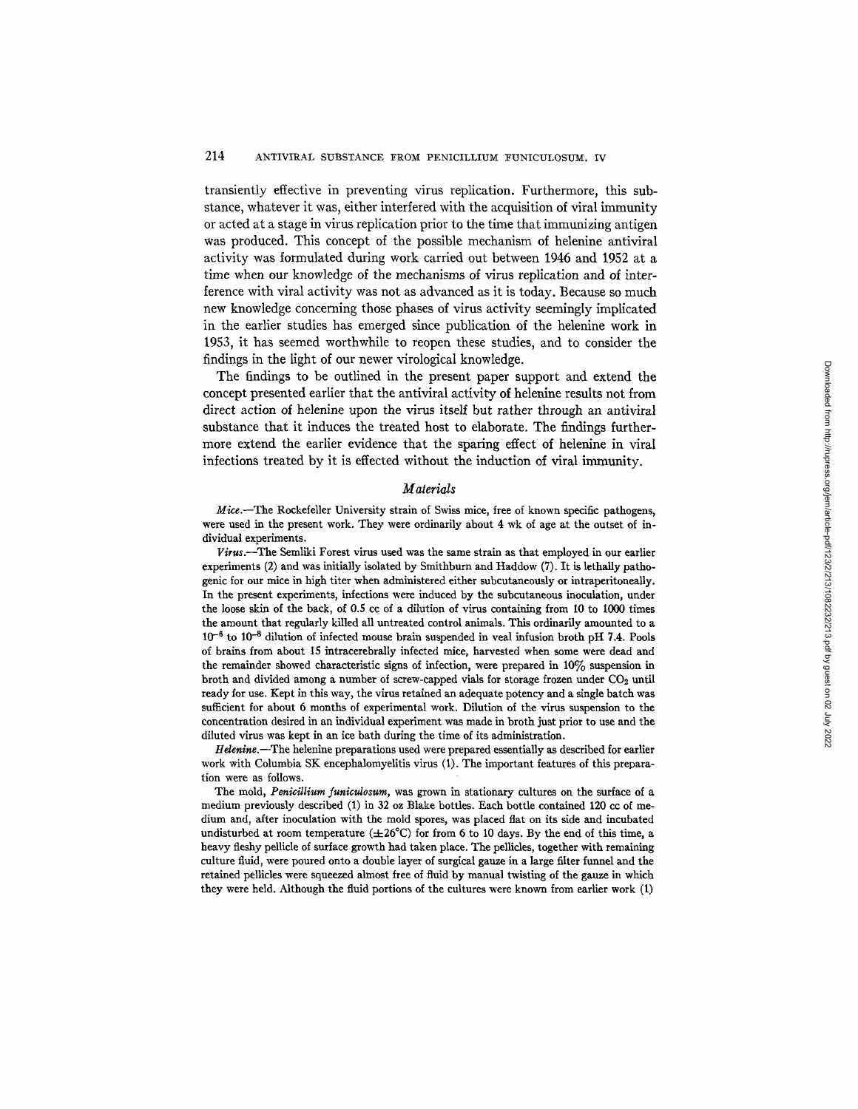## 214 ANTIVIRAL SUBSTANCE FROM PENICILLIUM FUNICULOSUM. IV

transiently effective in preventing virus replication. Furthermore, this substance, whatever it was, either interfered with the acquisition of viral immunity or acted at a stage in virus replication prior to the time that immunizing antigen was produced. This concept of the possible mechanism of helenine antiviral activity was formulated during work carried out between 1946 and 1952 at a time when our knowledge of the mechanisms of virus replication and of interference with viral activity was not as advanced as it is today. Because so much new knowledge concerning those phases of virus activity seemingly implicated in the earlier studies has emerged since publication of the helenine work in 1953, it has seemed worthwhile to reopen these studies, and to consider the findings in the light of our newer virological knowledge.

The findings to be outlined in the present paper support and extend the concept presented earlier that the antiviral activity of helenine results not from direct action of helenine upon the virus itself but rather through an antiviral substance that it induces the treated host to elaborate. The findings furthermore extend the earlier evidence that the sparing effect of helenine in viral infections treated by it is effected without the induction of viral immunity.

#### *Materials*

*Mice.--The* Rockefeller University strain of Swiss mice, free of known specific pathogens, were used in the present work. They were ordinarily about 4 wk of age at the outset of individual experiments.

*Virus.--The* Semliki Forest virus used was the same strain as that employed in our earlier experiments (2) and was initially isolated by Smithburn and Haddow (7). It is lethally pathogenic for our mice in high titer when administered either subcutaneously or intraperitoneally. In the present experiments, infections were induced by the subcutaneous inoculation, under the loose skin of the back, of 0.5 ce of a dilution of virus containing from 10 to 1000 times the amount that regularly killed all untreated control animals. This ordinarily amounted to a  $10^{-6}$  to  $10^{-8}$  dilution of infected mouse brain suspended in veal infusion broth pH 7.4. Pools of brains from about 15 intracerebrally infected mice, harvested when some were dead and the remainder showed characteristic signs of infection, were prepared in 10% suspension in broth and divided among a number of screw-capped vials for storage frozen under  $CO<sub>2</sub>$  until ready for use. Kept in this way, the virus retained an adequate potency and a single batch was sufficient for about 6 months of experimental work. Dilution of the virus suspension to the concentration desired in an individual experiment was made in broth just prior to use and the diluted virus was kept in an ice bath during the time of its administration.

*Helenine.*—The helenine preparations used were prepared essentially as described for earlier work with Columbia SK encephalomyelitis virus (1). The important features of this preparation were as follows.

The mold, *Penicillium funiculosum,* was grown in stationary cultures on the surface of a medium previously described (1) in 32 oz Blake bottles. Each bottle contained 120 cc of medium and, after inoculation with the mold spores, was placed flat on its side and incubated undisturbed at room temperature  $(\pm 26^{\circ}C)$  for from 6 to 10 days. By the end of this time, a heavy fleshy pellicle of surface growth had taken place. The pellicles, together with remaining culture fluid, were poured onto a double layer of surgical gauze in a large falter funnel and the retained pellicles were squeezed almost free of fluid by manual twisting of the gauze in which they were held. Although the fluid portions of the cultures were known from earlier work (1)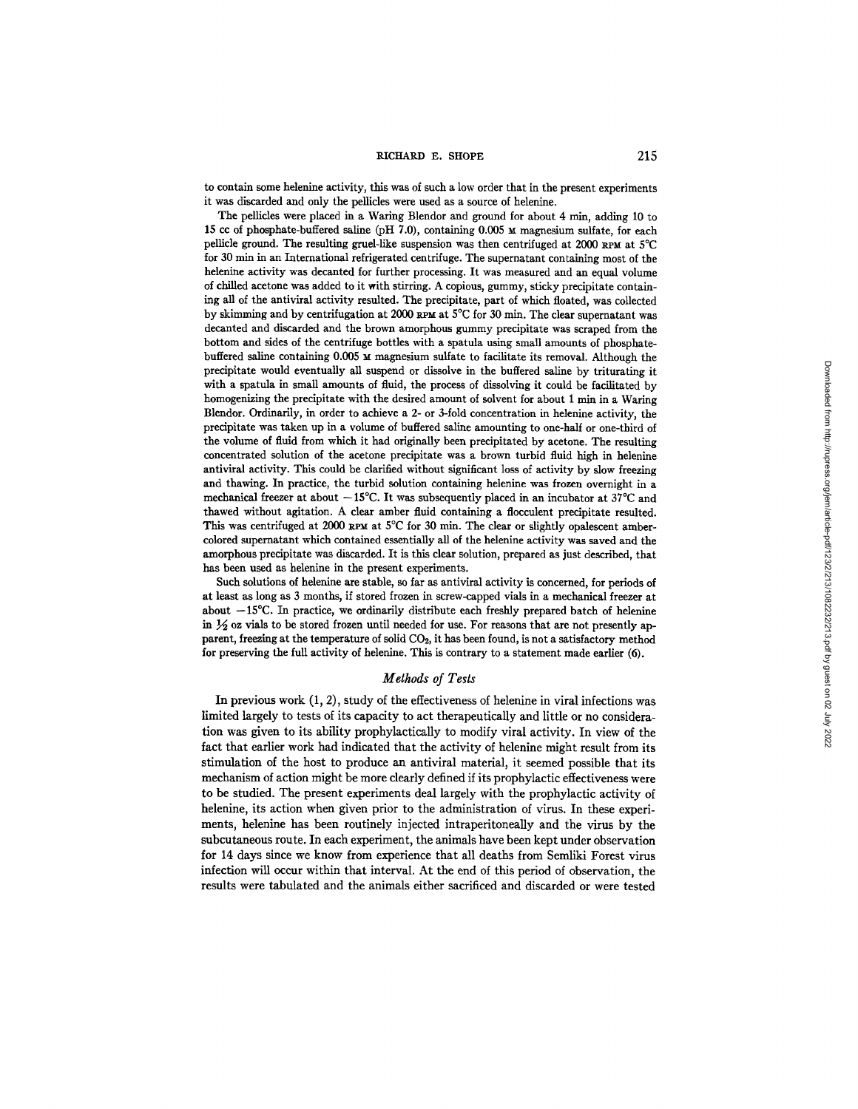to contain some helenine activity, this was of such a low order that in the present experiments it was discarded and only the pellicles were used as a source of helenine.

The pellicles were placed in a Waring Blendor and ground for about 4 min, adding 10 to 15 cc of phosphate-buffered saline (pH 7.0), containing 0.005  $\mu$  magnesium sulfate, for each pellicle ground. The resulting gruel-like suspension was then centrifuged at 2000 RPM at  $5^{\circ}$ C for 30 min in an International refrigerated centrifuge. The supernatant containing most of the helenine activity was decanted for further processing. It was measured and an equal volume of chilled acetone was added to it with stirring. A copious, gummy, sticky precipitate containing all of the antiviral activity resulted. The precipitate, part of which floated, was collected by skimming and by centrifugation at 2000 RPM at  $5^{\circ}$ C for 30 min. The clear supernatant was decanted and discarded and the brown amorphous gummy precipitate was scraped from the bottom and sides of the centrifuge bottles with a spatula using small amounts of phosphatebuffered saline containing 0.005  $\times$  magnesium sulfate to facilitate its removal. Although the precipitate would eventually all suspend or dissolve in the buffered saline by triturating it with a spatula in small amounts of fluid, the process of dissolving it could be facilitated by homogenizing the precipitate with the desired amount of solvent for about 1 min in a Waring Blendor. Ordinarily, in order to achieve a 2- or 3-fold concentration in helenine activity, the precipitate was taken up in a volume of buffered saline amounting to one-hail or one-third of the volume of fluid from which it had originally been precipitated by acetone. The resulting concentrated solution of the acetone precipitate was a brown turbid fluid high in helenine antiviral activity. This could be clarified without significant loss of activity by slow freezing and thawing. In practice, the turbid solution containing helenine was frozen overnight in a mechanical freezer at about  $-15^{\circ}$ C. It was subsequently placed in an incubator at 37°C and thawed without agitation. A clear amber fluid containing a flocculent precipitate resulted. This was centrifuged at 2000 RPM at  $5^{\circ}$ C for 30 min. The clear or slightly opalescent ambercolored supernatant which contained essentially all of the helenine activity was saved and the amorphous precipitate was discarded. It is this clear solution, prepared as just described, that has been used as helenine in the present experiments.

Such solutions of helenine are stable, so far as antiviral activity is concerned, for periods of at least as long as 3 months, if stored frozen in screw-capped vials in a mechanical freezer at about  $-15^{\circ}$ C. In practice, we ordinarily distribute each freshly prepared batch of helenine in  $\frac{1}{2}$  oz vials to be stored frozen until needed for use. For reasons that are not presently apparent, freezing at the temperature of solid  $CO<sub>2</sub>$ , it has been found, is not a satisfactory method for preserving the full activity of helenine. This is contrary to a statement made earlier (6).

# *Methods of Tests*

In previous work (1, 2), study of the effectiveness of helenine in viral infections was limited largely to tests of its capacity to act therapeutically and little or no consideration was given to its ability prophylactically to modify viral activity. In view of the fact that earlier work had indicated that the activity of helenine might result from its stimulation of the host to produce an antiviral material, it seemed possible that its mechanism of action might be more dearly defined if its prophylactic effectiveness were to be studied. The present experiments deal largely with the prophylactic activity of helenine, its action when given prior to the administration of virus. In these experiments, helenine has been routinely injected intraperitoneally and the virus by the subcutaneous route. In each experiment, the animals have been kept under observation for 14 days since we know from experience that all deaths from Semliki Forest virus infection will occur within that interval. At the end of this period of observation, the results were tabulated and the animals either sacrificed and discarded or were tested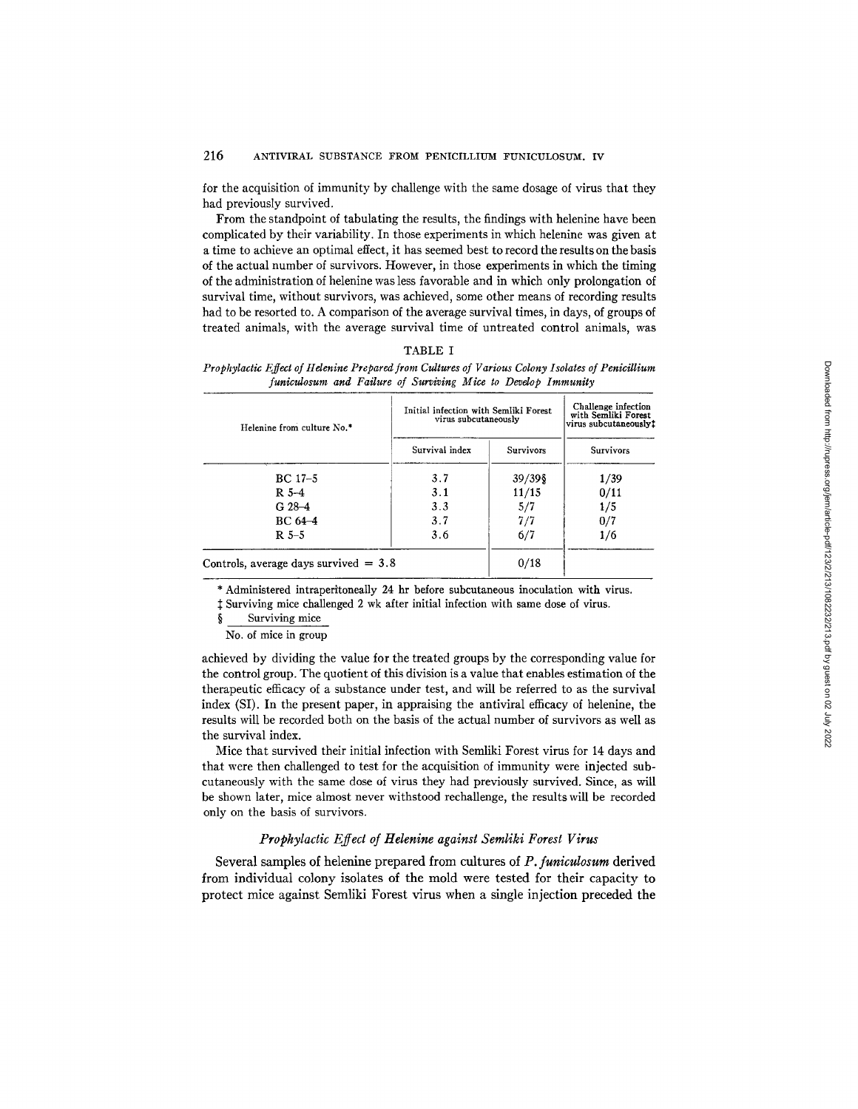for the acquisition of immunity by challenge with the same dosage of virus that they had previously survived.

From the standpoint of tabulating the results, the findings with helenine have been complicated by their variability. In those experiments in which helenine was given at a time to achieve an optimal effect, it has seemed best to record the results on the basis of the actual number of survivors. However, in those experiments in which the timing of the administration of helenine was less favorable and in which only prolongation of survival time, without survivors, was achieved, some other means of recording results had to be resorted to. A comparison of the average survival times, in days, of groups of treated animals, with the average survival time of untreated control animals, was

| г<br>. . |  |
|----------|--|
|----------|--|

*Prophylactic Effect of Helenine Prepared from Cultures of Various Colony Isolates of Penicillium funiculosum and Failure of Surviving Mice to Devdop Immunity* 

| Helenine from culture No.*              | Initial infection with Semliki Forest<br>virus subcutaneously | Challenge infection<br>with Semliki Forest<br>virus subcutaneously! |                  |
|-----------------------------------------|---------------------------------------------------------------|---------------------------------------------------------------------|------------------|
|                                         | Survival index                                                | Survivors                                                           | <b>Survivors</b> |
| $BC 17-5$                               | 3.7                                                           | $39/39$ §                                                           | 1/39             |
| $R$ 5-4                                 | 3.1                                                           | 11/15                                                               | 0/11             |
| $G.28 - 4$                              | 3.3                                                           | 5/7                                                                 | 1/5              |
| $BC 64-4$                               | 3.7                                                           | 7/7                                                                 | 0/7              |
| $R$ 5-5                                 | 3.6                                                           | 6/7                                                                 | 1/6              |
| Controls, average days survived $= 3.8$ |                                                               | 0/18                                                                |                  |

\* Administered intraperitoneally 24 hr before subcutaneous inoculation with virus.

 $\ddagger$  Surviving mice challenged 2 wk after initial infection with same dose of virus.

§ Surviving mice

No. of mice in group

achieved by dividing the value for the treated groups by the corresponding value for the control group. The quotient of this division is a value that enables estimation of the therapeutic efficacy of a substance under test, and will be referred to as the survival index (SI). In the present paper, in appraising the antiviral efficacy of helenine, the results will be recorded both on the basis of the actual number of survivors as well as the survival index.

Mice that survived their initial infection with Semliki Forest virus for 14 days and that were then challenged to test for the acquisition of immunity were injected subcutaneously with the same dose of virus they had previously survived. Since, as will be shown later, mice almost never withstood rechallenge, the results will be recorded only on the basis of survivors.

# *Prophylactic Effect of Helenine against Semliki Forest Virus*

Several samples of helenine prepared from cultures of *P. funiculosum* derived from individual colony isolates of the mold were tested for their capacity to protect mice against Semliki Forest virus when a single injection preceded the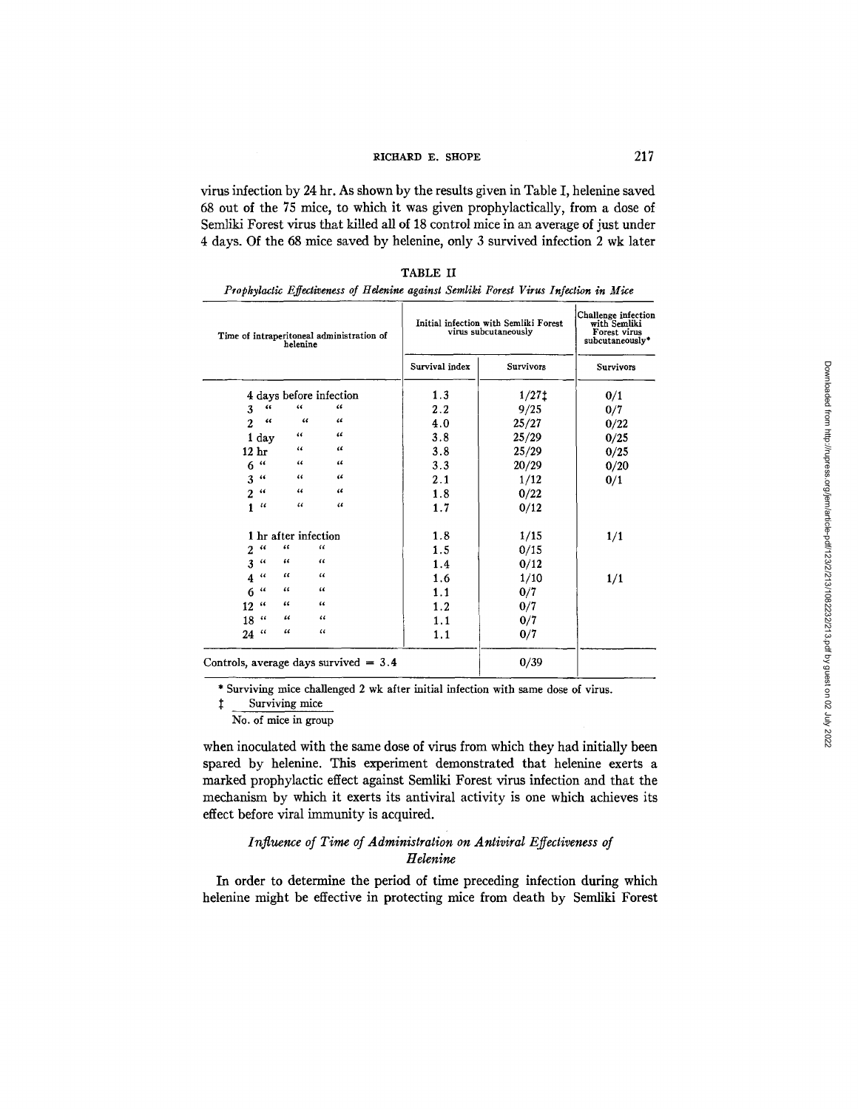virus infection by 24 hr. As shown by the results given in Table I, helenine saved 68 out of the 75 mice, to which it was given prophylactically, from a dose of Semliki Forest virus that killed all of 18 control mice in an average of just under 4 days. Of the 68 mice saved by helenine, only 3 survived infection 2 wk later

| Time of intraperitoneal administration of<br>helenine                 | Initial infection with Semliki Forest<br>virus subcutaneously | Challenge infection<br>with Semliki<br>Forest virus<br>subcutaneously* |                  |  |
|-----------------------------------------------------------------------|---------------------------------------------------------------|------------------------------------------------------------------------|------------------|--|
|                                                                       | Survival index                                                | <b>Survivors</b>                                                       | <b>Survivors</b> |  |
| 4 days before infection                                               | 1.3                                                           | 1/271                                                                  | 0/1              |  |
| $\mathcal{C}$<br>$\epsilon$<br>$\left\langle \right\rangle$<br>3      | 2.2                                                           | 9/25                                                                   | 0/7              |  |
| $\overline{2}$<br>$\boldsymbol{\epsilon}$<br>$\epsilon$<br>$\epsilon$ | 4.0                                                           | 25/27                                                                  | 0/22             |  |
| "<br>"<br>1 day                                                       | 3.8                                                           | 25/29                                                                  | 0/25             |  |
| $\epsilon$<br>44<br>12 <sub>hr</sub>                                  | 3.8                                                           | 25/29                                                                  | 0/25             |  |
| $\epsilon$<br>$\epsilon$<br>46<br>6                                   | 3.3                                                           | 20/29                                                                  | 0/20             |  |
| "<br>$\epsilon$<br>$\epsilon$<br>3                                    | 2.1                                                           | 1/12                                                                   | 0/1              |  |
| $\epsilon$<br>$\epsilon$<br>$\overline{2}$<br>66                      | 1.8                                                           | 0/22                                                                   |                  |  |
| $\epsilon$<br>$\epsilon$<br>$\epsilon$<br>1                           | 1.7                                                           | 0/12                                                                   |                  |  |
| 1 hr after infection                                                  | 1.8                                                           | 1/15                                                                   | 1/1              |  |
| $\epsilon$<br>$\epsilon$<br>$\overline{46}$<br>$\overline{2}$         | 1.5                                                           | 0/15                                                                   |                  |  |
| $\epsilon$<br>$\overline{3}$<br>$\epsilon$<br>44                      | 1.4                                                           | 0/12                                                                   |                  |  |
| $\epsilon$<br>$\overline{\bf{66}}$<br>"<br>4                          | 1.6                                                           | 1/10                                                                   | 1/1              |  |
| $\epsilon$<br>$\overline{66}$<br>"<br>6                               | 1.1                                                           | 0/7                                                                    |                  |  |
| "<br>$\epsilon$<br>$\epsilon$<br>12                                   | 1.2                                                           | 0/7                                                                    |                  |  |
| 66<br>18 "<br>"                                                       | 1.1                                                           | 0/7                                                                    |                  |  |
| "<br>66<br>24 "                                                       | 1.1                                                           | 0/7                                                                    |                  |  |
| Controls, average days survived $= 3.4$                               |                                                               | 0/39                                                                   |                  |  |

|                                                                                       |  | TABLE II |  |  |  |  |
|---------------------------------------------------------------------------------------|--|----------|--|--|--|--|
| Prophylactic Effectiveness of Helenine against Semliki Forest Virus Infection in Mice |  |          |  |  |  |  |

\* Surviving mice challenged 2 wk after initial infection with same dose of virus.

:~ Surviving mice

No. of mice in group

when inoculated with the same dose of virus from which they had initially been spared by helenine. This experiment demonstrated that helenine exerts a marked prophylactic effect against Semliki Forest virus infection and that the mechanism by which it exerts its antiviral activity is one which achieves its effect before viral immunity is acquired.

# *Influence of Time of Administration on Antiviral Effectiveness of ttelenine*

In order to determine the period of time preceding infection during which helenine might be effective in protecting mice from death by Semliki Forest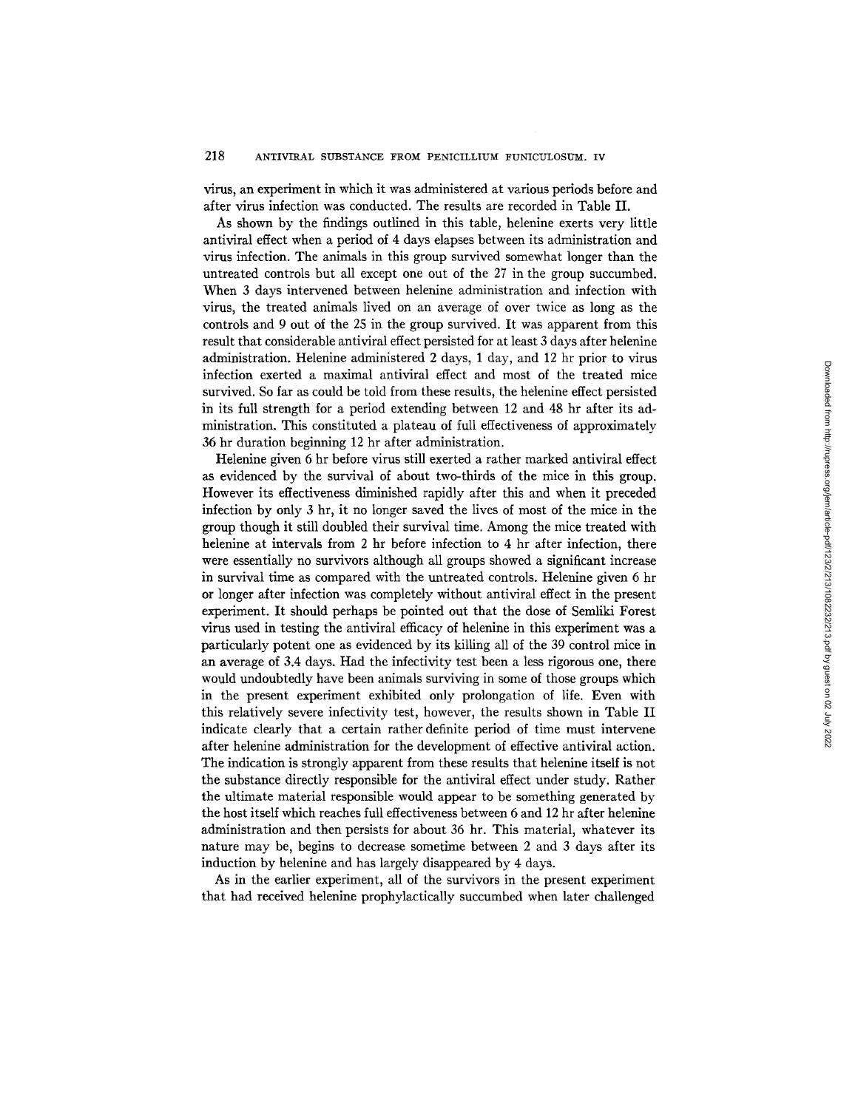### 218 ANTIVIRAL SUBSTANCE FROM PENICILLIUM FUNICULOSUM. IV

virus, an experiment in which it was administered at various periods before and after virus infection was conducted. The results are recorded in Table II.

As shown by the findings outlined in this table, helenine exerts very little antiviral effect when a period of 4 days elapses between its administration and virus infection. The animals in this group survived somewhat longer than the untreated controls but all except one out of the 27 in the group succumbed. When 3 days intervened between helenine administration and infection with virus, the treated animals lived on an average of over twice as long as the controls and 9 out of the 25 in the group survived. It was apparent from this result that considerable antiviral effect persisted for at least 3 days after helenine administration. Helenine administered 2 days, 1 day, and 12 hr prior to virus infection exerted a maximal antiviral effect and most of the treated mice survived. So far as could be told from these results, the helenine effect persisted in its full strength for a period extending between 12 and 48 hr after its administration. This constituted a plateau of full effectiveness of approximately 36 hr duration beginning 12 hr after administration.

Helenine given 6 hr before virus still exerted a rather marked antiviral effect as evidenced by the survival of about two-thirds of the mice in this group. However its effectiveness diminished rapidly after this and when it preceded infection by only 3 hr, it no longer saved the lives of most of the mice in the group though it still doubled their survival time. Among the mice treated with helenine at intervals from 2 hr before infection to 4 hr after infection, there were essentially no survivors although all groups showed a significant increase in survival time as compared with the untreated controls. Helenine given 6 hr or longer after infection was completely without antiviral effect in the present experiment. It should perhaps be pointed out that the dose of Semliki Forest virus used in testing the antiviral efficacy of helenine in this experiment was a particularly potent one as evidenced by its killing all of the 39 control mice in an average of 3.4 days. Had the infectivity test been a less rigorous one, there would undoubtedly have been animals surviving in some of those groups which in the present experiment exhibited only prolongation of life. Even with this relatively severe infectivity test, however, the results shown in Table II indicate clearly that a certain rather definite period of time must intervene after helenine administration for the development of effective antiviral action. The indication is strongly apparent from these results that helenine itself is not the substance directly responsible for the antiviral effect under study. Rather the ultimate material responsible would appear to be something generated by the host itself which reaches full effectiveness between 6 and 12 hr after helenine administration and then persists for about 36 hr. This material, whatever its nature may be, begins to decrease sometime between 2 and 3 days after its induction by helenine and has largely disappeared by 4 days.

As in the earlier experiment, all of the survivors in the present experiment that had received helenine prophylactically succumbed when later challenged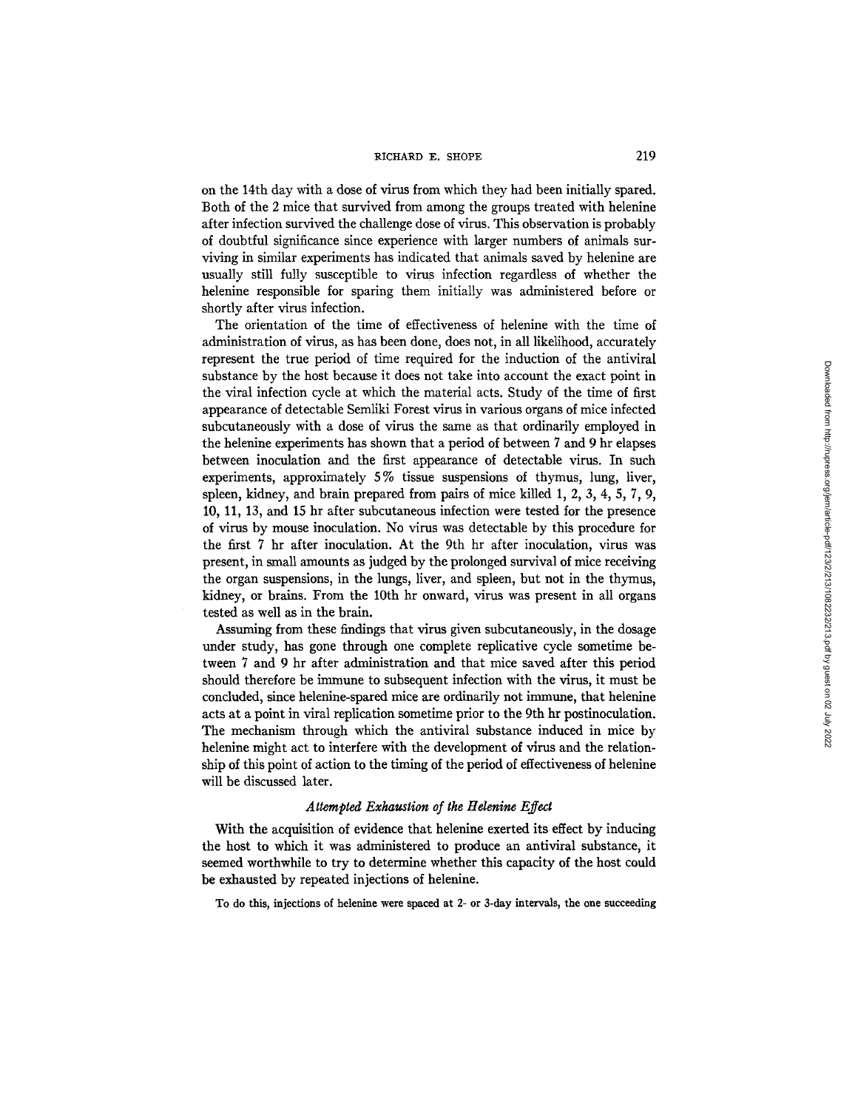on the 14th day with a dose of virus from which they had been initially spared. Both of the 2 mice that survived from among the groups treated with helenine after infection survived the challenge dose of virus. This observation is probably of doubtful significance since experience with larger numbers of animals surviving in similar experiments has indicated that animals saved by helenine are usually still fully susceptible to virus infection regardless of whether the helenine responsible for sparing them initially was administered before or shortly after virus infection.

The orientation of the time of effectiveness of helenine with the time of administration of virus, as has been done, does not, in all likelihood, accurately represent the true period of time required for the induction of the antiviral substance by the host because it does not take into account the exact point in the viral infection cycle at which the material acts. Study of the time of first appearance of detectable Semliki Forest virus in various organs of mice infected subcutaneously with a dose of virus the same as that ordinarily employed in the helenine experiments has shown that a period of between 7 and 9 hr elapses between inoculation and the first appearance of detectable virus. In such experiments, approximately 5% tissue suspensions of thymus, lung, liver, spleen, kidney, and brain prepared from pairs of mice killed 1, 2, 3, 4, 5, 7, 9, 10, 11, 13, and 15 hr after subcutaneous infection were tested for the presence of virus by mouse inoculation. No virus was detectable by this procedure for the first 7 hr after inoculation. At the 9th hr after inoculation, virus was present, in small amounts as judged by the prolonged survival of mice receiving the organ suspensions, in the lungs, liver, and spleen, but not in the thymus, kidney, or brains. From the 10th hr onward, virus was present in all organs tested as well as in the brain.

Assuming from these findings that virus given subcutaneously, in the dosage under study, has gone through one complete replicative cycle sometime between 7 and 9 hr after administration and that mice saved after this period should therefore be immune to subsequent infection with the virus, it must be concluded, since helenine-spared mice are ordinarily not immune, that helenine acts at a point in viral replication sometime prior to the 9th hr postinoculation. The mechanism through which the antiviral substance induced in mice by helenine might act to interfere with the development of virus and the relationship of this point of action to the timing of the period of effectiveness of helenine will be discussed later.

#### *Attempted Exhaustion of the Helenine Effect*

With the acquisition of evidence that helenine exerted its effect by inducing the host to which it was administered to produce an antiviral substance, it seemed worthwhile to try to determine whether this capacity of the host could be exhausted by repeated injections of helenine.

To do this, injections of helenine were spaced at 2- or 3-day intervals, the one succeeding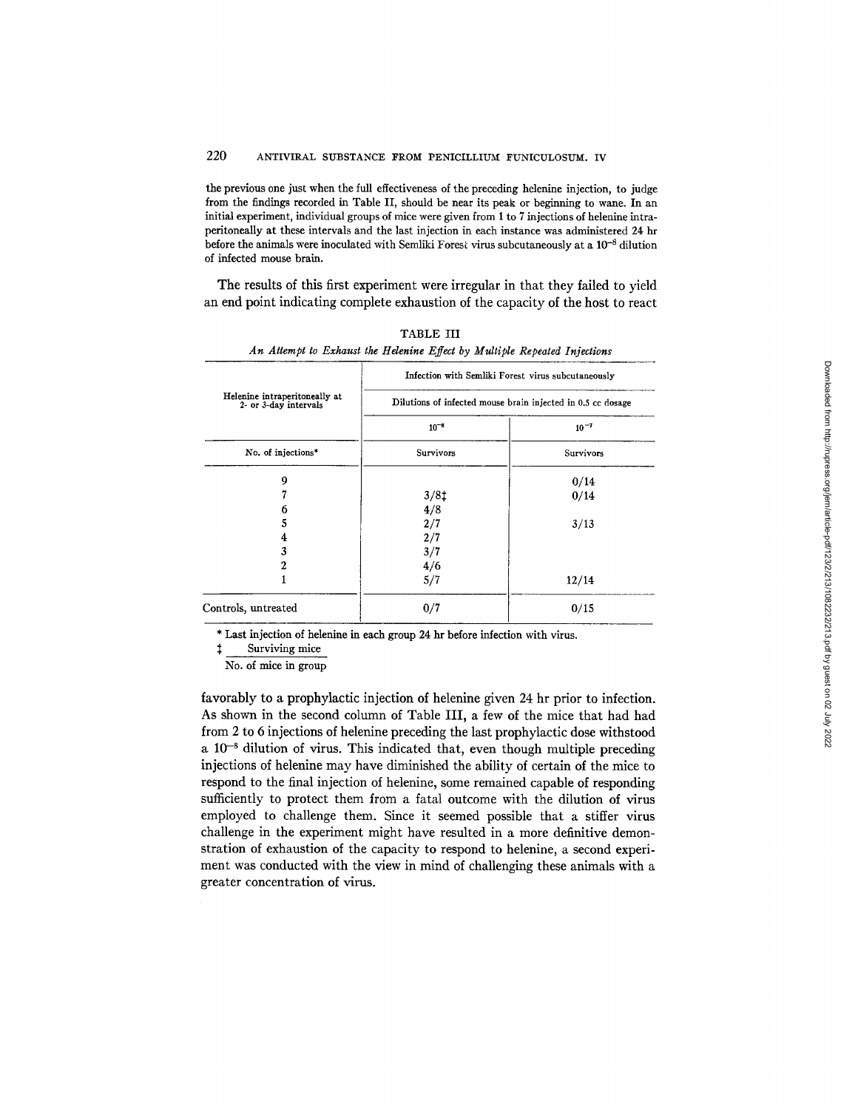### 220 ANTIVIRAL SUBSTANCE FROM PENICILLIUM FUNICULOSUM. IV

**the** previous one just when the full effectiveness of the preceding helenine injection, to judge from the findings recorded in Table II, should be near its peak or beginning to wane. In an initial experiment, individual groups of mice were given from 1 to 7 injections of helenine intraperitoneally at these intervals and the last injection in each instance was administered 24 hr before the animals were inoculated with Semliki Forest virus subcutaneously at a  $10^{-8}$  dilution of infected mouse brain.

The results of this first experiment were irregular in that they failed to yield an end point indicating complete exhaustion of the capacity of the host to react

|                                                        | Infection with Semliki Forest virus subcutaneously          |           |  |  |
|--------------------------------------------------------|-------------------------------------------------------------|-----------|--|--|
| Helenine intraperitoneally at<br>2- or 3-day intervals | Dilutions of infected mouse brain injected in 0.5 cc dosage |           |  |  |
|                                                        | $10^{-8}$                                                   | $10^{-7}$ |  |  |
| No. of injections*                                     | Survivors                                                   | Survivors |  |  |
| 9                                                      |                                                             | 0/14      |  |  |
|                                                        | 3/81                                                        | 0/14      |  |  |
|                                                        | 4/8                                                         |           |  |  |
| 5                                                      | 2/7                                                         | 3/13      |  |  |
| 4                                                      | 2/7                                                         |           |  |  |
| 3                                                      | 3/7                                                         |           |  |  |
| 2                                                      | 4/6                                                         |           |  |  |
|                                                        | 5/7                                                         | 12/14     |  |  |
| Controls, untreated                                    | 0/7                                                         | 0/15      |  |  |

TABLE III *An Attempt to Exhaust the Hdenine Effect by Multiple Repeated Injections* 

\* Last injection of helenine in each group 24 hr before infection with virus.

:~ Surviving mice

No. of mice in group

favorably to a prophylactic injection of helenine given 24 hr prior to infection. As shown in the second column of Table III, a few of the mice that had had from 2 to 6 injections of helenine preceding the last prophylactic dose withstood a  $10^{-8}$  dilution of virus. This indicated that, even though multiple preceding injections of helenine may have diminished the ability of certain of the mice to respond to the final injection of helenine, some remained capable of responding sufficiently to protect them from a fatal outcome with the dilution of virus employed to challenge them. Since it seemed possible that a stiffer virus challenge in the experiment might have resulted in a more definitive demonstration of exhaustion of the capacity to respond to helenine, a second experiment was conducted with the view in mind of challenging these animals with a greater concentration of virus.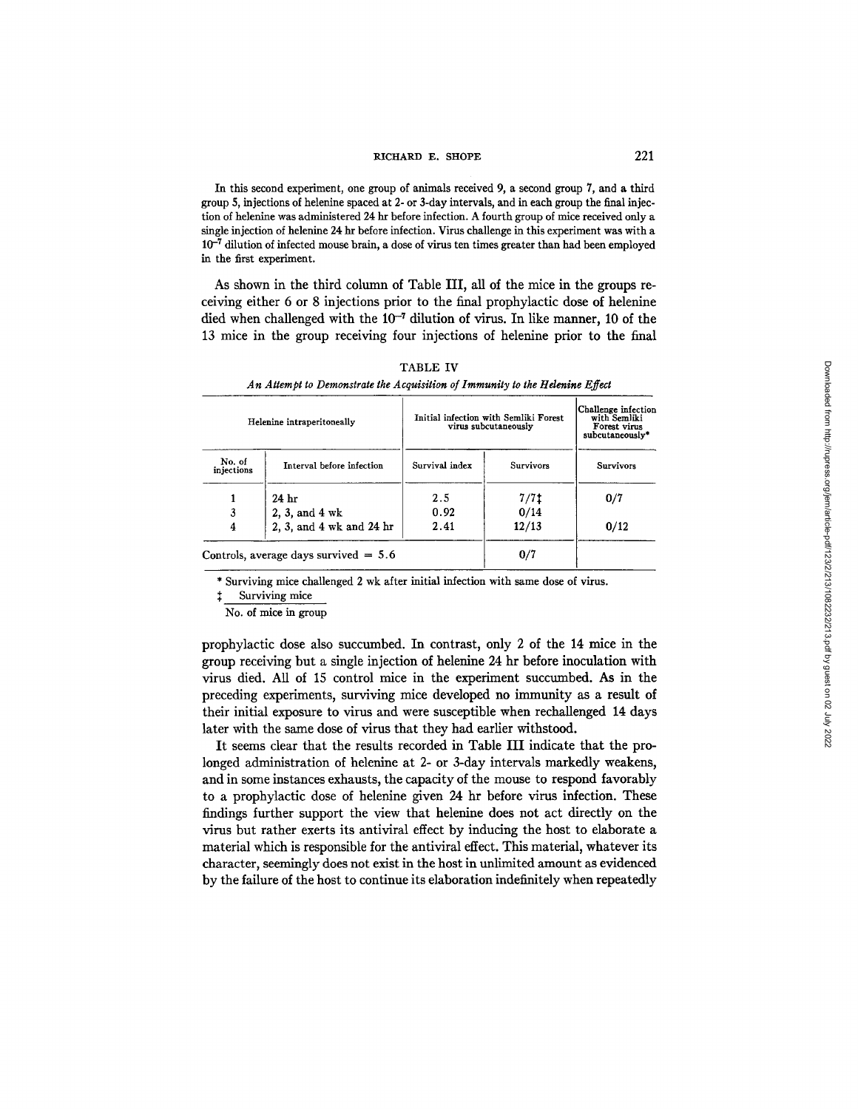In this second experiment, one group of animals received 9, a second group 7, and a third group 5, injections of helenine spaced at 2- or 3-day intervals, and in each group the final injection of helenine was administered 24 hr before infection. A fourth group of mice received only a single injection of helenine 24 hr before infection. Virus challenge in this experiment was with a  $10^{-7}$  dilution of infected mouse brain, a dose of virus ten times greater than had been employed in the first experiment.

As shown in the third column of Table III, all of the mice in the groups receiving either 6 or 8 injections prior to the final prophylactic dose of helenine died when challenged with the  $10^{-7}$  dilution of virus. In like manner, 10 of the 13 mice in the group receiving four injections of helenine prior to the final

|                      | Helenine intraperitoneally              | Initial infection with Semliki Forest<br>virus subcutaneously | Challenge infection<br>with Semliki<br>Forest virus<br>subcutaneously* |                  |  |
|----------------------|-----------------------------------------|---------------------------------------------------------------|------------------------------------------------------------------------|------------------|--|
| No. of<br>injections | Interval before infection               | Survival index                                                | <b>Survivors</b>                                                       | <b>Survivors</b> |  |
| 1                    | 24 hr                                   | 2.5                                                           | 7/71                                                                   | 0/7              |  |
| 3                    | 2, 3, and 4 wk                          | 0.92                                                          | 0/14                                                                   |                  |  |
| 4                    | 2, 3, and 4 wk and 24 hr                | 2.41                                                          | 12/13                                                                  | 0/12             |  |
|                      | Controls, average days survived $= 5.6$ |                                                               | 0/7                                                                    |                  |  |

TABLE IV *A n Attempt to Demonstrate the Acquisition of Immunity to the Hdenine Effect* 

\* Surviving mice challenged 2 wk after initial infection with same dose of virus.

İ Surviving mice

No. of mice in group

prophylactic dose also succumbed. In contrast, only 2 of the 14 mice in the group receiving but a single injection of helenine 24 hr before inoculation with virus died. All of 15 control mice in the experiment succumbed. As in the preceding experiments, surviving mice developed no immunity as a result of their initial exposure to virus and were susceptible when rechallenged 14 days later with the same dose of virus that they had earlier withstood.

It seems clear that the results recorded in Table III indicate that the prolonged administration of helenine at 2- or 3-day intervals markedly weakens, and in some instances exhausts, the capacity of the mouse to respond favorably to a prophylactic dose of helenine given 24 hr before virus infection. These findings further support the view that helenine does not act directly on the virus but rather exerts its antiviral effect by inducing the host to elaborate a material which is responsible for the antiviral effect. This material, whatever its character, seemingly does not exist in the host in unlimited amount as evidenced by the failure of the host to continue its elaboration indefinitely when repeatedly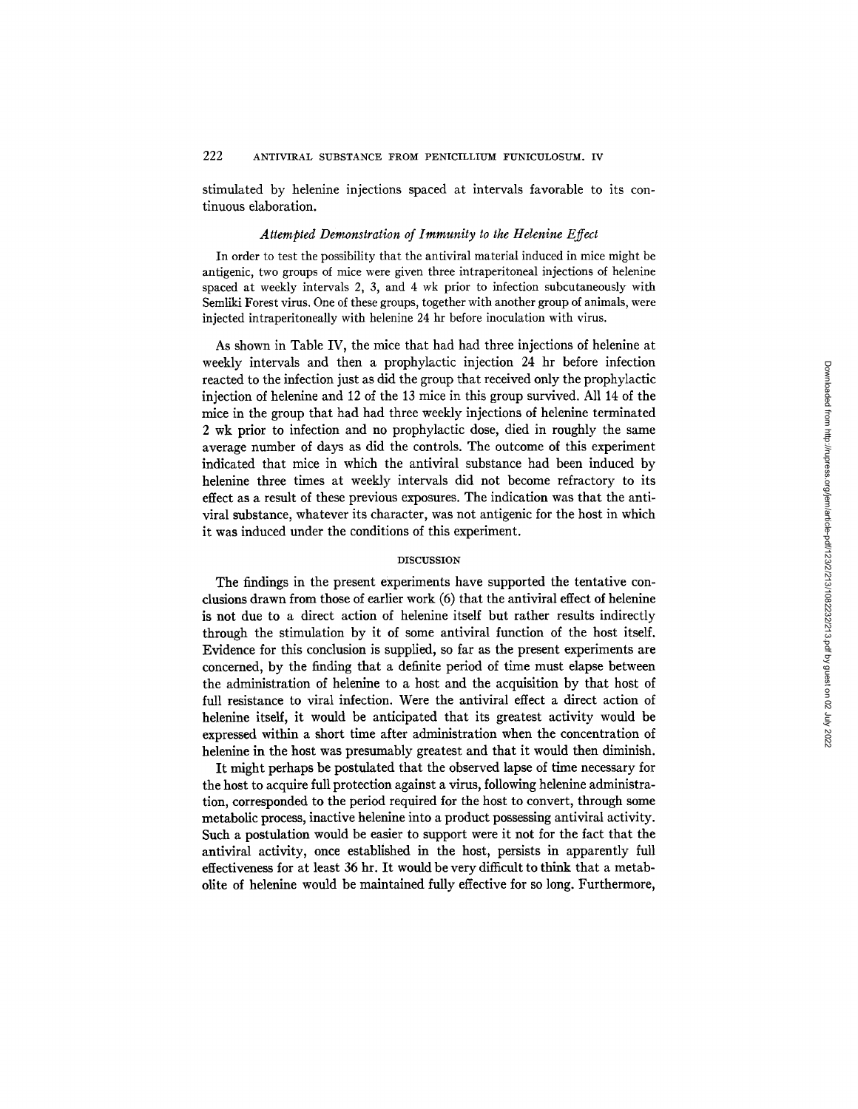stimulated by helenine injections spaced at intervals favorable to its continuous elaboration.

#### *Attempted Demonstration of Immunity to the Helenine Effect*

In order to test the possibility that the anfiviral material induced in mice might be antigenic, two groups of mice were given three intraperitoneal injections of helenine spaced at weekly intervals 2, 3, and 4 wk prior to infection subcutaneously with Semliki Forest virus. One of these groups, together with another group of animals, were injected intraperitoneally with helenine 24 hr before inoculation with virus.

As shown in Table IV, the mice that had had three injections of helenine at weekly intervals and then a prophylactic injection 24 hr before infection reacted to the infection just as did the group that received only the prophylactic injection of helenine and 12 of the 13 mice in this group survived. All 14 of the mice in the group that had had three weekly injections of helenine terminated 2 wk prior to infection and no prophylactic dose, died in roughly the same average number of days as did the controls. The outcome of this experiment indicated that mice in which the antiviral substance had been induced by helenine three times at weekly intervals did not become refractory to its effect as a result of these previous exposures. The indication was that the antiviral substance, whatever its character, was not antigenic for the host in which it was induced under the conditions of this experiment.

### DISCUSSION

The findings in the present experiments have supported the tentative conclusions drawn from those of earlier work (6) that the antiviral effect of helenine is not due to a direct action of helenine itself but rather results indirectly through the stimulation by it of some antiviral function of the host itself. Evidence for this conclusion is supplied, so far as the present experiments are concerned, by the finding that a definite period of time must elapse between the administration of helenine to a host and the acquisition by that host of full resistance to viral infection. Were the antiviral effect a direct action of helenine itself, it would be anticipated that its greatest activity would be expressed within a short time after administration when the concentration of helenine in the host was presumably greatest and that it would then diminish.

It might perhaps be postulated that the observed lapse of time necessary for the host to acquire full protection against a virus, following helenine administration, corresponded to the period required for the host to convert, through some metabolic process, inactive helenine into a product possessing antiviral activity. Such a postulation would be easier to support were it not for the fact that the antiviral activity, once established in the host, persists in apparently full effectiveness for at least 36 hr. It would be very difficult to think that a metabolite of helenine would be maintained fully effective for so long. Furthermore,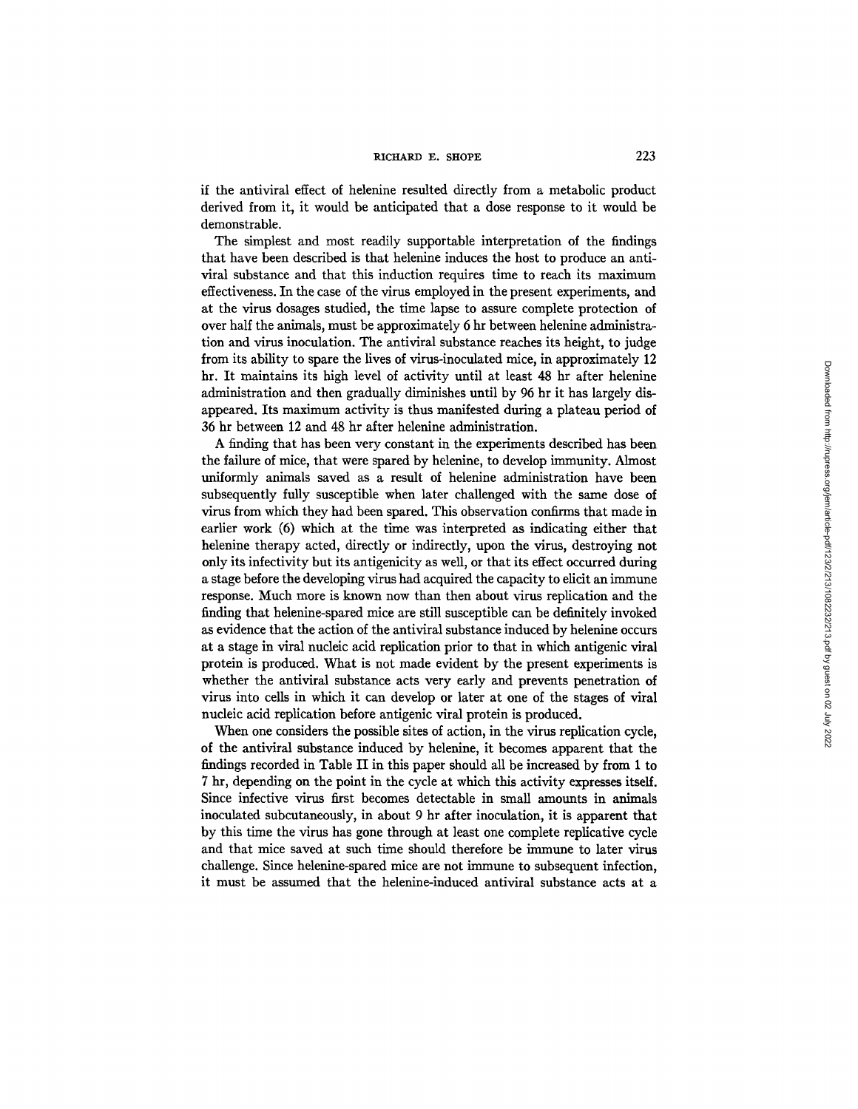if the antiviral effect of helenine resulted directly from a metabolic product derived from it, it would be anticipated that a dose response to it would be demonstrable.

The simplest and most readily supportable interpretation of the findings that have been described is that helenine induces the host to produce an antiviral substance and that this induction requires time to reach its maximum effectiveness. In the case of the virus employed in the present experiments, and at the virus dosages studied, the time lapse to assure complete protection of over half the animals, must be approximately 6 hr between helenine administration and virus inoculation. The antiviral substance reaches its height, to judge from its ability to spare the lives of virus-inoculated mice, in approximately 12 hr. It maintains its high level of activity until at least 48 hr after helenine administration and then gradually diminishes until by 96 hr it has largely disappeared. Its maximum activity is thus manifested during a plateau period of 36 hr between 12 and 48 hr after helenine administration.

A finding that has been very constant in the experiments described has been the failure of mice, that were spared by helenine, to develop immunity. Almost uniformly animals saved as a result of helenine administration have been subsequently fully susceptible when later challenged with the same dose of virus from which they had been spared. This observation confirms that made in earlier work (6) which at the time was interpreted as indicating either that helenine therapy acted, directly or indirectly, upon the virus, destroying not only its infectivity but its antigenicity as well, or that its effect occurred during a stage before the developing virus had acquired the capacity to elicit an immune response. Much more is known now than then about virus replication and the finding that helenine-spared mice are still susceptible can be definitely invoked as evidence that the action of the antiviral substance induced by heleuine occurs at a stage in viral nucleic acid replication prior to that in which antigenic viral protein is produced. What is not made evident by the present experiments is whether the antiviral substance acts very early and prevents penetration of virus into cells in which it can develop or later at one of the stages of viral nucleic acid replication before antigenic viral protein is produced.

When one considers the possible sites of action, in the virus replication cycle, of the antiviral substance induced by heleuine, it becomes apparent that the findings recorded in Table II in this paper should all be increased by from 1 to 7 hr, depending on the point in the cycle at which this activity expresses itself. Since infective virus first becomes detectable in small amounts in animals inoculated subcutaneously, in about 9 hr after inoculation, it is apparent that by this time the virus has gone through at least one complete replicative cycle and that mice saved at such time should therefore be immune to later virus challenge. Since helenine-spared mice are not immune to subsequent infection, it must be assumed that the helenine-induced antiviral substance acts at a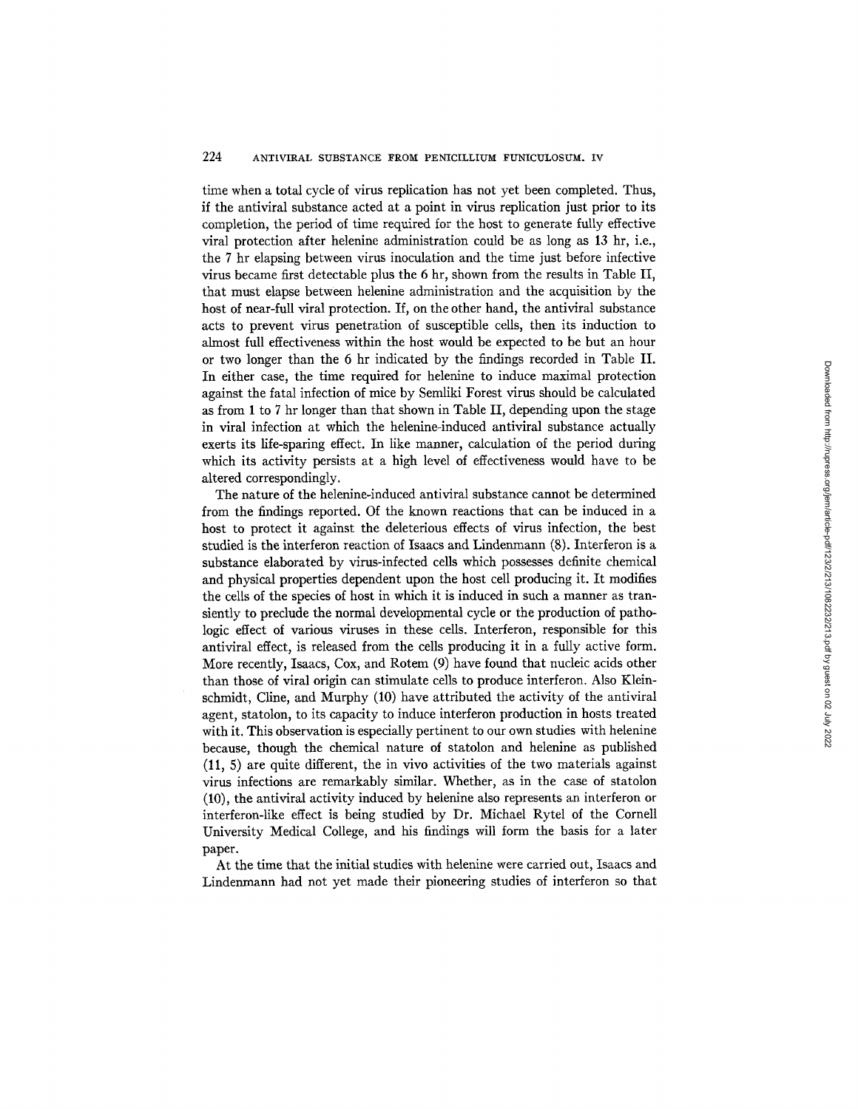time when a total cycle of virus replication has not yet been completed. Thus, if the antiviral substance acted at a point in virus replication just prior to its completion, the period of time required for the host to generate fully effective viral protection after helenine administration could be as long as 13 hr, i.e., the 7 hr elapsing between virus inoculation and the time just before infective virus became first detectable plus the 6 hr, shown from the results in Table II, that must elapse between helenine administration and the acquisition by the host of near-full viral protection. If, on the other hand, the antiviral substance acts to prevent virus penetration of susceptible cells, then its induction to almost full effectiveness within the host would be expected to be but an hour or two longer than the 6 hr indicated by the findings recorded in Table II. In either case, the time required for helenine to induce maximal protection against the fatal infection of mice by Semliki Forest virus should be calculated as from 1 to 7 hr longer than that shown in Table II, depending upon the stage in viral infection at which the helenine-induced antiviral substance actually exerts its life-sparing effect. In like manner, calculation of the period during which its activity persists at a high level of effectiveness would have to be altered correspondingly.

The nature of the helenine-induced antiviral substance cannot be determined from the findings reported. Of the known reactions that can be induced in a host to protect it against the deleterious effects of virus infection, the best studied is the interferon reaction of Isaacs and Lindenmann (8). Interferon is a substance elaborated by virus-infected cells which possesses definite chemical and physical properties dependent upon the host cell producing it. It modifies the cells of the species of host in which it is induced in such a manner as transiently to preclude the normal developmental cycle or the production of pathologic effect of various viruses in these cells. Interferon, responsible for this antiviral effect, is released from the cells producing it in a fully active form. More recently, Isaacs, Cox, and Rotem (9) have found that nucleic acids other than those of viral origin can stimulate cells to produce interferon. Also Kleinschmidt, Cline, and Murphy (10) have attributed the activity of the antiviral agent, statolon, to its capacity to induce interferon production in hosts treated with it. This observation is especially pertinent to our own studies with helenine because, though the chemical nature of statolon and helenine as published (11, 5) are quite different, the in vivo activities of the two materials against virus infections are remarkably similar. Whether, as in the case of statolon (10), the antiviral activity induced by helenine also represents an interferon or interferon-like effect is being studied by Dr. Michael Rytel of the Cornell University Medical College, and his findings will form the basis for a later paper.

At the time that the initial studies with helenine were carried out, Isaacs and Lindenmann had not yet made their pioneering studies of interferon so that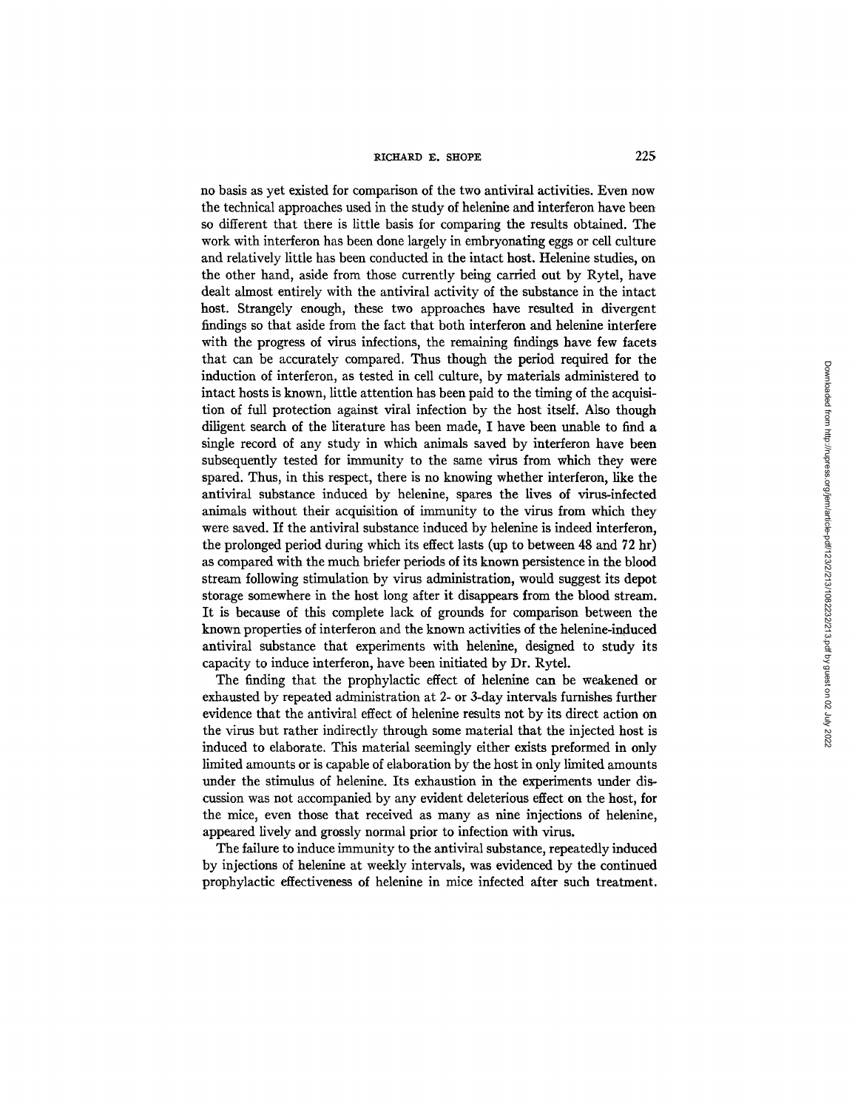no basis as yet existed for comparison of the two antiviral activities. Even now the technical approaches used in the study of helenine and interferon have been so different that there is little basis for comparing the results obtained. The work with interferon has been done largely in embryonating eggs or cell culture and relatively little has been conducted in the intact host. Helenine studies, on the other hand, aside from those currently being carried out by Rytel, have dealt almost entirely with the antiviral activity of the substance in the intact host. Strangely enough, these two approaches have resulted in divergent findings so that aside from the fact that both interferon and helenine interfere with the progress of virus infections, the remaining findings have few facets that can be accurately compared. Thus though the period required for the induction of interferon, as tested in cell culture, by materials administered to intact hosts is known, little attention has been paid to the timing of the acquisition of full protection against viral infection by the host itself. Also though diligent search of the literature has been made, I have been unable to find a single record of any study in which animals saved by interferon have been subsequently tested for immunity to the same virus from which they were spared. Thus, in this respect, there is no knowing whether interferon, like the antiviral substance induced by helenine, spares the lives of virus-infected animals without their acquisition of immunity to the virus from which they were saved. If the antiviral substance induced by helenine is indeed interferon, the prolonged period during which its effect lasts (up to between 48 and 72 hr) as compared with the much briefer periods of its known persistence in the blood stream following stimulation by virus administration, would suggest its depot storage somewhere in the host long after it disappears from the blood stream. It is because of this complete lack of grounds for comparison between the known properties of interferon and the known activities of the helenine-induced antiviral substance that experiments with helenine, designed to study its capacity to induce interferon, have been initiated by Dr. Rytel.

The finding that the prophylactic effect of helenine can be weakened or exhausted by repeated administration at 2- or 3-day intervals furnishes further evidence that the antiviral effect of helenine results not by its direct action on the virus but rather indirectly through some material that the injected host is induced to elaborate. This material seemingly either exists preformed in only limited amounts or is capable of elaboration by the host in only limited amounts under the stimulus of helenine. Its exhaustion in the experiments under discussion was not accompanied by any evident deleterious effect on the host, for the mice, even those that received as many as nine injections of helenine, appeared lively and grossly normal prior to infection with virus.

The failure to induce immunity to the antiviral substance, repeatedly induced by injections of helenine at weekly intervals, was evidenced by the continued prophylactic effectiveness of helenine in mice infected after such treatment.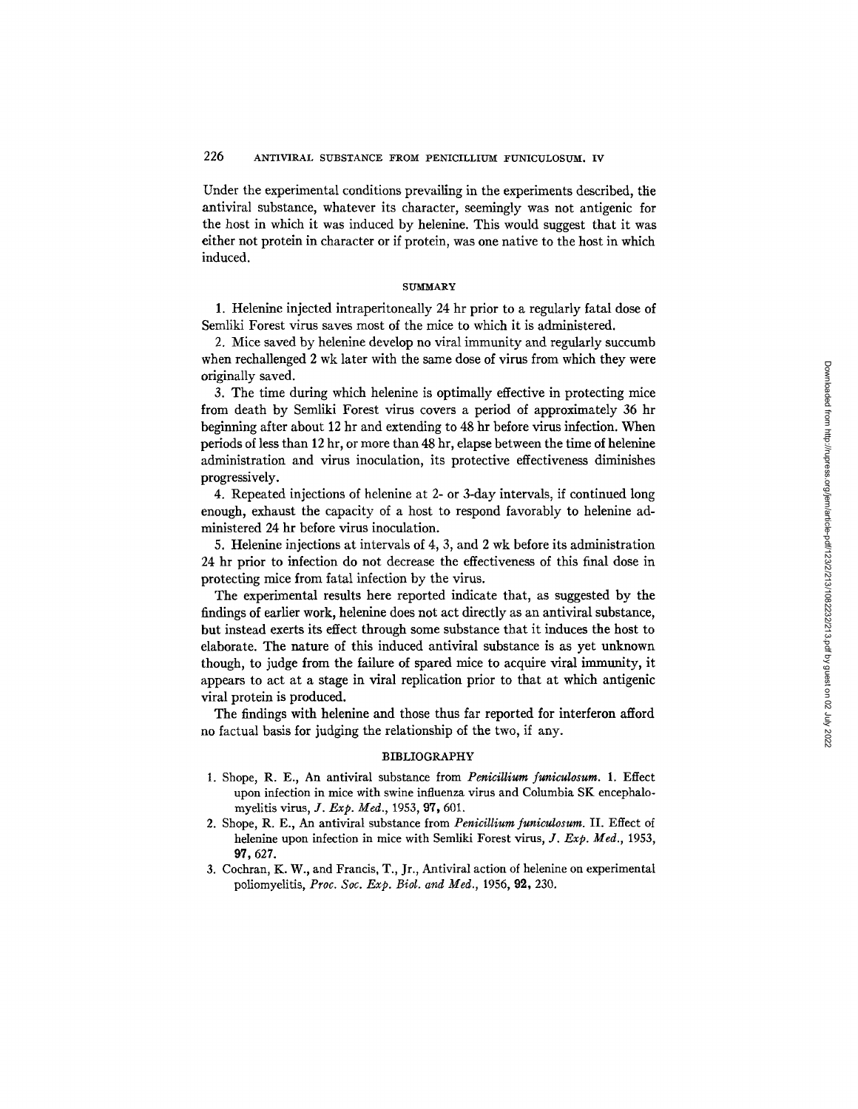Under the experimental conditions prevailing in the experiments described, the antiviral substance, whatever its character, seemingly was not antigenic for the host in which it was induced by helenine. This would suggest that it was either not protein in character or if protein, was one native to the host in which induced.

## SUMMARY

1. Helenine injected intraperitoneally 24 hr prior to a regularly fatal dose of Semliki Forest virus saves most of the mice to which it is administered.

2. Mice saved by helenine develop no viral immunity and regularly succumb when rechallenged 2 wk later with the same dose of virus from which they were originally saved.

3. The time during which helenine is optimally effective in protecting mice from death by Semliki Forest virus covers a period of approximately 36 hr beginning after about 12 hr and extending to 48 hr before virus infection. When periods of less than 12 hr, or more than 48 hr, elapse between the time of helenine administration and virus inoculation, its protective effectiveness diminishes progressively.

4. Repeated injections of helenine at 2- or 3-day intervals, if continued long enough, exhaust the capacity of a host to respond favorably to helenine administered 24 hr before virus inoculation.

5. Helenine injections at intervals of 4, 3, and 2 wk before its administration 24 hr prior to infection do not decrease the effectiveness of this final dose in protecting mice from fatal infection by the virus.

The experimental results here reported indicate that, as suggested by the findings of earlier work, helenine does not act directly as an antiviral substance, but instead exerts its effect through some substance that it induces the host to elaborate. The nature of this induced antiviral substance is as yet unknown though, to judge from the failure of spared mice to acquire viral immunity, it appears to act at a stage in viral replication prior to that at which antigenic viral protein is produced.

The findings with helenine and those thus far reported for interferon afford no factual basis for judging the relationship of the two, if any.

#### BIBLIOGRAPHY

- 1. Shope, R. E., An antiviral substance from *Penicillium funiculosum.* 1. Effect upon infection in mice with swine influenza virus and Columbia SK encephalomyelitis virus, *J. Exp. Mred.,* 1953, 97, 601.
- 2. Shope, R. E., An antiviral substance from *Penicillium funiculosurn.* II. Effect of helenine upon infection in mice with Semliki Forest virus, *J. Exp. Med.,* 1953, 97,627.
- 3. Cochran, K. W., and Francis, T., Jr., Antiviral action of helenine on experimental poliomyelitis, *Proc. Soc. Exp. Biol. and Med.,* 1956, 92, 230.